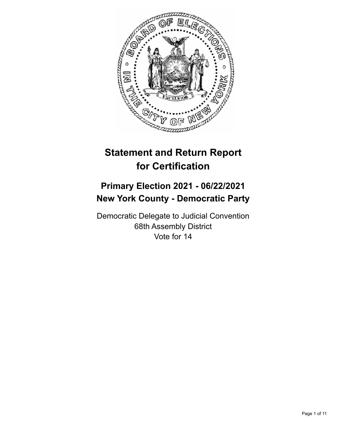

# **Statement and Return Report for Certification**

## **Primary Election 2021 - 06/22/2021 New York County - Democratic Party**

Democratic Delegate to Judicial Convention 68th Assembly District Vote for 14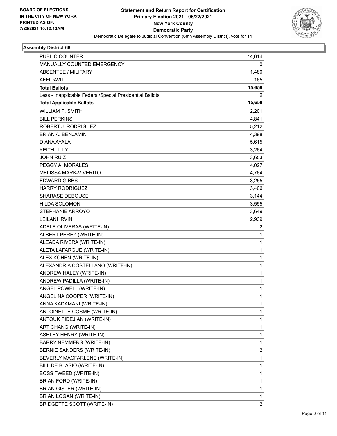

| PUBLIC COUNTER                                           | 14,014       |
|----------------------------------------------------------|--------------|
| <b>MANUALLY COUNTED EMERGENCY</b>                        | 0            |
| <b>ABSENTEE / MILITARY</b>                               | 1,480        |
| <b>AFFIDAVIT</b>                                         | 165          |
| <b>Total Ballots</b>                                     | 15,659       |
| Less - Inapplicable Federal/Special Presidential Ballots | 0            |
| <b>Total Applicable Ballots</b>                          | 15,659       |
| <b>WILLIAM P. SMITH</b>                                  | 2,201        |
| <b>BILL PERKINS</b>                                      | 4,841        |
| ROBERT J. RODRIGUEZ                                      | 5,212        |
| <b>BRIAN A. BENJAMIN</b>                                 | 4,398        |
| DIANA AYALA                                              | 5,615        |
| <b>KEITH LILLY</b>                                       | 3,264        |
| <b>JOHN RUIZ</b>                                         | 3,653        |
| PEGGY A. MORALES                                         | 4,027        |
| MELISSA MARK-VIVERITO                                    | 4,764        |
| <b>EDWARD GIBBS</b>                                      | 3,255        |
| <b>HARRY RODRIGUEZ</b>                                   | 3,406        |
| SHARASE DEBOUSE                                          | 3,144        |
| <b>HILDA SOLOMON</b>                                     | 3,555        |
| STEPHANIE ARROYO                                         | 3,649        |
| <b>LEILANI IRVIN</b>                                     | 2,939        |
| ADELE OLIVERAS (WRITE-IN)                                | 2            |
| ALBERT PEREZ (WRITE-IN)                                  | 1            |
| ALEADA RIVERA (WRITE-IN)                                 | 1            |
| ALETA LAFARGUE (WRITE-IN)                                | $\mathbf{1}$ |
| ALEX KOHEN (WRITE-IN)                                    | 1            |
| ALEXANDRIA COSTELLANO (WRITE-IN)                         | 1            |
| ANDREW HALEY (WRITE-IN)                                  | $\mathbf{1}$ |
| ANDREW PADILLA (WRITE-IN)                                | 1            |
| ANGEL POWELL (WRITE-IN)                                  | 1            |
| ANGELINA COOPER (WRITE-IN)                               | 1            |
| ANNA KADAMANI (WRITE-IN)                                 | 1            |
| ANTOINETTE COSME (WRITE-IN)                              | 1            |
| ANTOUK PIDEJIAN (WRITE-IN)                               | $\mathbf{1}$ |
| ART CHANG (WRITE-IN)                                     | 1            |
| ASHLEY HENRY (WRITE-IN)                                  | 1            |
| <b>BARRY NEMMERS (WRITE-IN)</b>                          | 1            |
| BERNIE SANDERS (WRITE-IN)                                | 2            |
| BEVERLY MACFARLENE (WRITE-IN)                            | 1            |
| BILL DE BLASIO (WRITE-IN)                                | $\mathbf{1}$ |
| <b>BOSS TWEED (WRITE-IN)</b>                             | 1            |
| BRIAN FORD (WRITE-IN)                                    | 1            |
| <b>BRIAN GISTER (WRITE-IN)</b>                           | 1            |
| BRIAN LOGAN (WRITE-IN)                                   | 1            |
| BRIDGETTE SCOTT (WRITE-IN)                               | 2            |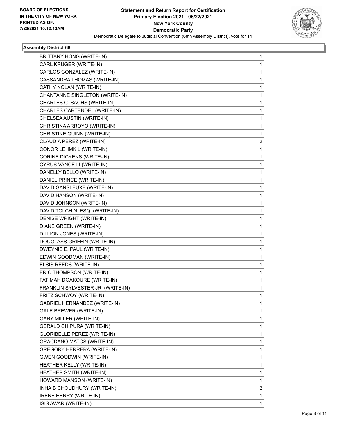

| BRITTANY HONG (WRITE-IN)          | 1              |
|-----------------------------------|----------------|
| CARL KRUGER (WRITE-IN)            | 1              |
| CARLOS GONZALEZ (WRITE-IN)        | 1              |
| CASSANDRA THOMAS (WRITE-IN)       | 1.             |
| CATHY NOLAN (WRITE-IN)            | 1              |
| CHANTANNE SINGLETON (WRITE-IN)    | 1              |
| CHARLES C. SACHS (WRITE-IN)       | 1.             |
| CHARLES CARTENDEL (WRITE-IN)      | 1              |
| CHELSEA AUSTIN (WRITE-IN)         | 1              |
| CHRISTINA ARROYO (WRITE-IN)       | 1.             |
| CHRISTINE QUINN (WRITE-IN)        | 1              |
| CLAUDIA PEREZ (WRITE-IN)          | $\overline{2}$ |
| CONOR LEHMKIL (WRITE-IN)          | $\mathbf{1}$   |
| <b>CORINE DICKENS (WRITE-IN)</b>  | 1              |
| CYRUS VANCE III (WRITE-IN)        | 1              |
| DANELLY BELLO (WRITE-IN)          | 1.             |
| DANIEL PRINCE (WRITE-IN)          | 1              |
| DAVID GANSLEUXE (WRITE-IN)        | 1              |
| DAVID HANSON (WRITE-IN)           | 1.             |
| DAVID JOHNSON (WRITE-IN)          | 1              |
| DAVID TOLCHIN, ESQ. (WRITE-IN)    | 1              |
| DENISE WRIGHT (WRITE-IN)          | 1.             |
| DIANE GREEN (WRITE-IN)            | 1              |
| DILLION JONES (WRITE-IN)          | 1              |
| DOUGLASS GRIFFIN (WRITE-IN)       | 1              |
| DWEYNIE E. PAUL (WRITE-IN)        | 1              |
| EDWIN GOODMAN (WRITE-IN)          | 1              |
| ELSIS REEDS (WRITE-IN)            | 1.             |
| ERIC THOMPSON (WRITE-IN)          | 1              |
| FATIMAH DOAKOURE (WRITE-IN)       | 1              |
| FRANKLIN SYLVESTER JR. (WRITE-IN) | 1              |
| FRITZ SCHWOY (WRITE-IN)           | 1              |
| GABRIEL HERNANDEZ (WRITE-IN)      | 1              |
| <b>GALE BREWER (WRITE-IN)</b>     | 1.             |
| <b>GARY MILLER (WRITE-IN)</b>     | 1              |
| <b>GERALD CHIPURA (WRITE-IN)</b>  | 1              |
| GLORIBELLE PEREZ (WRITE-IN)       | 1.             |
| <b>GRACDANO MATOS (WRITE-IN)</b>  | 1              |
| GREGORY HERRERA (WRITE-IN)        | 1              |
| <b>GWEN GOODWIN (WRITE-IN)</b>    | 1.             |
| HEATHER KELLY (WRITE-IN)          | 1              |
| HEATHER SMITH (WRITE-IN)          | 1              |
| HOWARD MANSON (WRITE-IN)          | 1.             |
| INHAIB CHOUDHURY (WRITE-IN)       | $\overline{c}$ |
| <b>IRENE HENRY (WRITE-IN)</b>     | 1              |
| ISIS AWAR (WRITE-IN)              | 1              |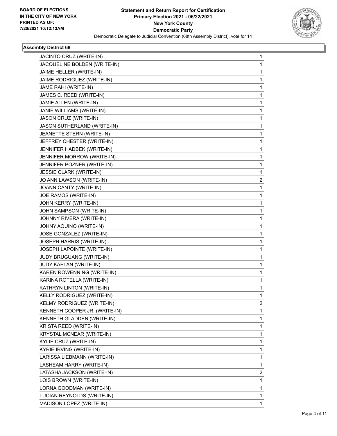

| JACINTO CRUZ (WRITE-IN)       | 1 |
|-------------------------------|---|
| JACQUELINE BOLDEN (WRITE-IN)  | 1 |
| JAIME HELLER (WRITE-IN)       | 1 |
| JAIME RODRIGUEZ (WRITE-IN)    | 1 |
| JAME RAHI (WRITE-IN)          | 1 |
| JAMES C. REED (WRITE-IN)      | 1 |
| JAMIE ALLEN (WRITE-IN)        | 1 |
| JANIE WILLIAMS (WRITE-IN)     | 1 |
| JASON CRUZ (WRITE-IN)         | 1 |
| JASON SUTHERLAND (WRITE-IN)   | 1 |
| JEANETTE STERN (WRITE-IN)     | 1 |
| JEFFREY CHESTER (WRITE-IN)    | 1 |
| JENNIFER HADBEK (WRITE-IN)    | 1 |
| JENNIFER MORROW (WRITE-IN)    | 1 |
| JENNIFER POZNER (WRITE-IN)    | 1 |
| JESSIE CLARK (WRITE-IN)       | 1 |
| JO ANN LAWSON (WRITE-IN)      | 2 |
| JOANN CANTY (WRITE-IN)        | 1 |
| JOE RAMOS (WRITE-IN)          | 1 |
| JOHN KERRY (WRITE-IN)         | 1 |
| JOHN SAMPSON (WRITE-IN)       | 1 |
| JOHNNY RIVERA (WRITE-IN)      | 1 |
| JOHNY AQUINO (WRITE-IN)       | 1 |
| JOSE GONZALEZ (WRITE-IN)      | 1 |
| JOSEPH HARRIS (WRITE-IN)      | 1 |
| JOSEPH LAPOINTE (WRITE-IN)    | 1 |
| JUDY BRUGUANG (WRITE-IN)      | 1 |
| JUDY KAPLAN (WRITE-IN)        | 1 |
| KAREN ROWENNING (WRITE-IN)    | 1 |
| KARINA ROTELLA (WRITE-IN)     | 1 |
| KATHRYN LINTON (WRITE-IN)     | 1 |
| KELLY RODRIGUEZ (WRITE-IN)    | 1 |
| KELMY RODRIGUEZ (WRITE-IN)    | 2 |
| KENNETH COOPER JR. (WRITE-IN) | 1 |
| KENNETH GLADDEN (WRITE-IN)    | 1 |
| KRISTA REED (WRITE-IN)        | 1 |
| KRYSTAL MCNEAR (WRITE-IN)     | 1 |
| KYLIE CRUZ (WRITE-IN)         | 1 |
| KYRIE IRVING (WRITE-IN)       | 1 |
| LARISSA LIEBMANN (WRITE-IN)   | 1 |
| LASHEAM HARRY (WRITE-IN)      | 1 |
| LATASHA JACKSON (WRITE-IN)    | 2 |
| LOIS BROWN (WRITE-IN)         | 1 |
| LORNA GOODMAN (WRITE-IN)      | 1 |
| LUCIAN REYNOLDS (WRITE-IN)    | 1 |
| MADISON LOPEZ (WRITE-IN)      | 1 |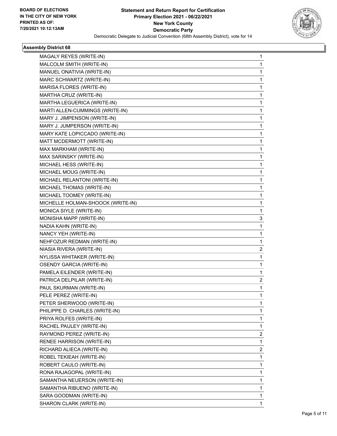

| MAGALY REYES (WRITE-IN)           | 1 |
|-----------------------------------|---|
| MALCOLM SMITH (WRITE-IN)          | 1 |
| MANUEL ONATIVIA (WRITE-IN)        | 1 |
| MARC SCHWARTZ (WRITE-IN)          | 1 |
| MARISA FLORES (WRITE-IN)          | 1 |
| MARTHA CRUZ (WRITE-IN)            | 1 |
| MARTHA LEGUERICA (WRITE-IN)       | 1 |
| MARTI ALLEN-CUMMINGS (WRITE-IN)   | 1 |
| MARY J. JIMPENSON (WRITE-IN)      | 1 |
| MARY J. JUMPERSON (WRITE-IN)      | 1 |
| MARY KATE LOPICCADO (WRITE-IN)    | 1 |
| MATT MCDERMOTT (WRITE-IN)         | 1 |
| MAX MARKHAM (WRITE-IN)            | 1 |
| MAX SARINSKY (WRITE-IN)           | 1 |
| MICHAEL HESS (WRITE-IN)           | 1 |
| MICHAEL MOUG (WRITE-IN)           | 1 |
| MICHAEL RELANTONI (WRITE-IN)      | 1 |
| MICHAEL THOMAS (WRITE-IN)         | 1 |
| MICHAEL TOOMEY (WRITE-IN)         | 1 |
| MICHELLE HOLMAN-SHOOCK (WRITE-IN) | 1 |
| MONICA SIYLE (WRITE-IN)           | 1 |
| MONISHA MAPP (WRITE-IN)           | 3 |
| NADIA KAHN (WRITE-IN)             | 1 |
| NANCY YEH (WRITE-IN)              | 1 |
| NEHFOZUR REDMAN (WRITE-IN)        | 1 |
| NIASIA RIVERA (WRITE-IN)          | 2 |
| NYLISSA WHITAKER (WRITE-IN)       | 1 |
| <b>OSENDY GARCIA (WRITE-IN)</b>   | 1 |
| PAMELA EILENDER (WRITE-IN)        | 1 |
| PATRICA DELPILAR (WRITE-IN)       | 2 |
| PAUL SKURMAN (WRITE-IN)           | 1 |
| PELE PEREZ (WRITE-IN)             | 1 |
| PETER SHERWOOD (WRITE-IN)         | 1 |
| PHILIPPE D. CHARLES (WRITE-IN)    | 1 |
| PRIYA ROLFES (WRITE-IN)           | 1 |
| RACHEL PAULEY (WRITE-IN)          | 1 |
| RAYMOND PEREZ (WRITE-IN)          | 2 |
| RENEE HARRISON (WRITE-IN)         | 1 |
| RICHARD ALIECA (WRITE-IN)         | 2 |
| ROBEL TEKIEAH (WRITE-IN)          | 1 |
| ROBERT CAULO (WRITE-IN)           | 1 |
| RONA RAJAGOPAL (WRITE-IN)         | 1 |
| SAMANTHA NEUERSON (WRITE-IN)      | 1 |
| SAMANTHA RIBUENO (WRITE-IN)       | 1 |
| SARA GOODMAN (WRITE-IN)           | 1 |
| SHARON CLARK (WRITE-IN)           | 1 |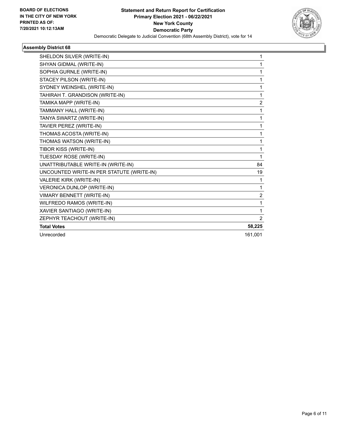

| SHELDON SILVER (WRITE-IN)                 | 1              |
|-------------------------------------------|----------------|
| SHYAN GIDMAL (WRITE-IN)                   | 1              |
| SOPHIA GURNLE (WRITE-IN)                  | 1              |
| STACEY PILSON (WRITE-IN)                  | 1              |
| SYDNEY WEINSHEL (WRITE-IN)                | 1              |
| TAHIRAH T. GRANDISON (WRITE-IN)           | 1              |
| TAMIKA MAPP (WRITE-IN)                    | $\overline{2}$ |
| TAMMANY HALL (WRITE-IN)                   | 1              |
| TANYA SWARTZ (WRITE-IN)                   | 1              |
| TAVIER PEREZ (WRITE-IN)                   | 1              |
| THOMAS ACOSTA (WRITE-IN)                  | 1              |
| THOMAS WATSON (WRITE-IN)                  | 1              |
| TIBOR KISS (WRITE-IN)                     | 1              |
| TUESDAY ROSE (WRITE-IN)                   | 1              |
| UNATTRIBUTABLE WRITE-IN (WRITE-IN)        | 84             |
| UNCOUNTED WRITE-IN PER STATUTE (WRITE-IN) | 19             |
| VALERIE KIRK (WRITE-IN)                   | 1              |
| VERONICA DUNLOP (WRITE-IN)                | $\mathbf{1}$   |
| <b>VIMARY BENNETT (WRITE-IN)</b>          | $\overline{c}$ |
| WILFREDO RAMOS (WRITE-IN)                 | 1              |
| XAVIER SANTIAGO (WRITE-IN)                | 1              |
| ZEPHYR TEACHOUT (WRITE-IN)                | 2              |
| <b>Total Votes</b>                        | 58,225         |
| Unrecorded                                | 161,001        |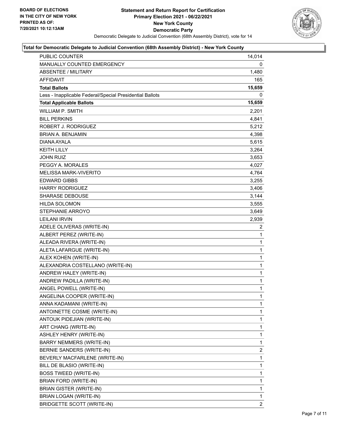

| <b>PUBLIC COUNTER</b>                                    | 14,014         |
|----------------------------------------------------------|----------------|
| MANUALLY COUNTED EMERGENCY                               | 0              |
| <b>ABSENTEE / MILITARY</b>                               | 1,480          |
| AFFIDAVIT                                                | 165            |
| <b>Total Ballots</b>                                     | 15,659         |
| Less - Inapplicable Federal/Special Presidential Ballots | 0              |
| <b>Total Applicable Ballots</b>                          | 15,659         |
| <b>WILLIAM P. SMITH</b>                                  | 2,201          |
| <b>BILL PERKINS</b>                                      | 4,841          |
| ROBERT J. RODRIGUEZ                                      | 5,212          |
| <b>BRIAN A. BENJAMIN</b>                                 | 4,398          |
| DIANA AYALA                                              | 5,615          |
| <b>KEITH LILLY</b>                                       | 3,264          |
| <b>JOHN RUIZ</b>                                         | 3,653          |
| PEGGY A. MORALES                                         | 4,027          |
| <b>MELISSA MARK-VIVERITO</b>                             | 4,764          |
| <b>EDWARD GIBBS</b>                                      | 3,255          |
| <b>HARRY RODRIGUEZ</b>                                   | 3,406          |
| <b>SHARASE DEBOUSE</b>                                   | 3,144          |
| <b>HILDA SOLOMON</b>                                     | 3,555          |
| STEPHANIE ARROYO                                         | 3,649          |
| <b>LEILANI IRVIN</b>                                     | 2,939          |
| ADELE OLIVERAS (WRITE-IN)                                | 2              |
| ALBERT PEREZ (WRITE-IN)                                  | 1              |
| ALEADA RIVERA (WRITE-IN)                                 | 1              |
| ALETA LAFARGUE (WRITE-IN)                                | 1              |
| ALEX KOHEN (WRITE-IN)                                    | $\mathbf{1}$   |
| ALEXANDRIA COSTELLANO (WRITE-IN)                         | $\mathbf{1}$   |
| ANDREW HALEY (WRITE-IN)                                  | 1              |
| ANDREW PADILLA (WRITE-IN)                                | $\mathbf{1}$   |
| ANGEL POWELL (WRITE-IN)                                  | $\mathbf{1}$   |
| ANGELINA COOPER (WRITE-IN)                               | 1              |
| ANNA KADAMANI (WRITE-IN)                                 | 1              |
| ANTOINETTE COSME (WRITE-IN)                              | 1              |
| ANTOUK PIDEJIAN (WRITE-IN)                               | 1              |
| ART CHANG (WRITE-IN)                                     | 1              |
| ASHLEY HENRY (WRITE-IN)                                  | 1              |
| <b>BARRY NEMMERS (WRITE-IN)</b>                          | 1              |
| BERNIE SANDERS (WRITE-IN)                                | $\overline{2}$ |
| BEVERLY MACFARLENE (WRITE-IN)                            | 1              |
| BILL DE BLASIO (WRITE-IN)                                | 1              |
| <b>BOSS TWEED (WRITE-IN)</b>                             | 1              |
| BRIAN FORD (WRITE-IN)                                    | 1              |
| BRIAN GISTER (WRITE-IN)                                  | 1              |
| BRIAN LOGAN (WRITE-IN)                                   | 1              |
| <b>BRIDGETTE SCOTT (WRITE-IN)</b>                        | $\overline{2}$ |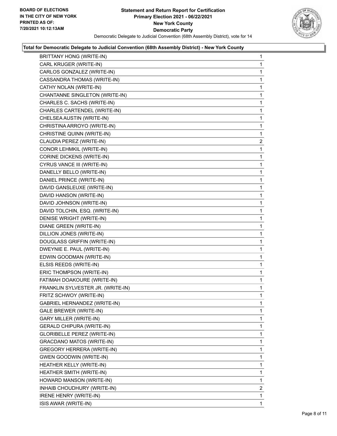

| BRITTANY HONG (WRITE-IN)          | $\mathbf{1}$   |
|-----------------------------------|----------------|
| CARL KRUGER (WRITE-IN)            | 1              |
| CARLOS GONZALEZ (WRITE-IN)        | 1              |
| CASSANDRA THOMAS (WRITE-IN)       | 1              |
| CATHY NOLAN (WRITE-IN)            | 1              |
| CHANTANNE SINGLETON (WRITE-IN)    | 1              |
| CHARLES C. SACHS (WRITE-IN)       | 1              |
| CHARLES CARTENDEL (WRITE-IN)      | 1              |
| CHELSEA AUSTIN (WRITE-IN)         | 1              |
| CHRISTINA ARROYO (WRITE-IN)       | 1              |
| CHRISTINE QUINN (WRITE-IN)        | 1              |
| CLAUDIA PEREZ (WRITE-IN)          | 2              |
| CONOR LEHMKIL (WRITE-IN)          | 1              |
| CORINE DICKENS (WRITE-IN)         | 1              |
| CYRUS VANCE III (WRITE-IN)        | 1              |
| DANELLY BELLO (WRITE-IN)          | 1              |
| DANIEL PRINCE (WRITE-IN)          | 1              |
| DAVID GANSLEUXE (WRITE-IN)        | 1              |
| DAVID HANSON (WRITE-IN)           | 1              |
| DAVID JOHNSON (WRITE-IN)          | 1              |
| DAVID TOLCHIN, ESQ. (WRITE-IN)    | 1              |
| DENISE WRIGHT (WRITE-IN)          | 1              |
| DIANE GREEN (WRITE-IN)            | 1              |
| DILLION JONES (WRITE-IN)          | 1              |
| DOUGLASS GRIFFIN (WRITE-IN)       | 1              |
| DWEYNIE E. PAUL (WRITE-IN)        | 1              |
| EDWIN GOODMAN (WRITE-IN)          | 1              |
| ELSIS REEDS (WRITE-IN)            | 1              |
| ERIC THOMPSON (WRITE-IN)          | 1              |
| FATIMAH DOAKOURE (WRITE-IN)       | $\mathbf{1}$   |
| FRANKLIN SYLVESTER JR. (WRITE-IN) | 1              |
| FRITZ SCHWOY (WRITE-IN)           | 1              |
| GABRIEL HERNANDEZ (WRITE-IN)      | 1              |
| GALE BREWER (WRITE-IN)            | 1              |
| <b>GARY MILLER (WRITE-IN)</b>     | 1              |
| <b>GERALD CHIPURA (WRITE-IN)</b>  | 1              |
| GLORIBELLE PEREZ (WRITE-IN)       | 1              |
| GRACDANO MATOS (WRITE-IN)         | 1              |
| GREGORY HERRERA (WRITE-IN)        | 1              |
| <b>GWEN GOODWIN (WRITE-IN)</b>    | 1              |
| HEATHER KELLY (WRITE-IN)          | 1              |
| HEATHER SMITH (WRITE-IN)          | 1              |
| HOWARD MANSON (WRITE-IN)          | 1              |
| INHAIB CHOUDHURY (WRITE-IN)       | $\overline{2}$ |
| <b>IRENE HENRY (WRITE-IN)</b>     | 1              |
| ISIS AWAR (WRITE-IN)              | 1              |
|                                   |                |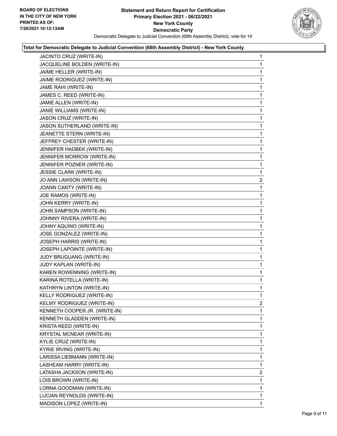

| JACINTO CRUZ (WRITE-IN)        | 1              |
|--------------------------------|----------------|
| JACQUELINE BOLDEN (WRITE-IN)   | 1              |
| JAIME HELLER (WRITE-IN)        | 1              |
| JAIME RODRIGUEZ (WRITE-IN)     | 1              |
| JAME RAHI (WRITE-IN)           | 1              |
| JAMES C. REED (WRITE-IN)       | 1              |
| JAMIE ALLEN (WRITE-IN)         | 1              |
| JANIE WILLIAMS (WRITE-IN)      | 1              |
| JASON CRUZ (WRITE-IN)          | 1              |
| JASON SUTHERLAND (WRITE-IN)    | 1              |
| JEANETTE STERN (WRITE-IN)      | 1              |
| JEFFREY CHESTER (WRITE-IN)     | 1              |
| JENNIFER HADBEK (WRITE-IN)     | 1              |
| JENNIFER MORROW (WRITE-IN)     | 1              |
| JENNIFER POZNER (WRITE-IN)     | 1              |
| <b>JESSIE CLARK (WRITE-IN)</b> | 1              |
| JO ANN LAWSON (WRITE-IN)       | $\overline{c}$ |
| JOANN CANTY (WRITE-IN)         | 1              |
| JOE RAMOS (WRITE-IN)           | 1              |
| JOHN KERRY (WRITE-IN)          | 1              |
| JOHN SAMPSON (WRITE-IN)        | 1              |
| JOHNNY RIVERA (WRITE-IN)       | 1              |
| JOHNY AQUINO (WRITE-IN)        | 1              |
| JOSE GONZALEZ (WRITE-IN)       | 1              |
| JOSEPH HARRIS (WRITE-IN)       | 1              |
| JOSEPH LAPOINTE (WRITE-IN)     | 1              |
| JUDY BRUGUANG (WRITE-IN)       | 1              |
| JUDY KAPLAN (WRITE-IN)         | 1              |
| KAREN ROWENNING (WRITE-IN)     | 1              |
| KARINA ROTELLA (WRITE-IN)      | 1              |
| KATHRYN LINTON (WRITE-IN)      | 1              |
| KELLY RODRIGUEZ (WRITE-IN)     | 1              |
| KELMY RODRIGUEZ (WRITE-IN)     | 2              |
| KENNETH COOPER JR. (WRITE-IN)  | 1              |
| KENNETH GLADDEN (WRITE-IN)     | 1              |
| KRISTA REED (WRITE-IN)         | 1              |
| KRYSTAL MCNEAR (WRITE-IN)      | 1              |
| KYLIE CRUZ (WRITE-IN)          | 1              |
| KYRIE IRVING (WRITE-IN)        | 1              |
| LARISSA LIEBMANN (WRITE-IN)    | 1              |
| LASHEAM HARRY (WRITE-IN)       | 1              |
| LATASHA JACKSON (WRITE-IN)     | $\overline{2}$ |
| LOIS BROWN (WRITE-IN)          | 1              |
| LORNA GOODMAN (WRITE-IN)       | 1              |
| LUCIAN REYNOLDS (WRITE-IN)     | 1              |
| MADISON LOPEZ (WRITE-IN)       | 1              |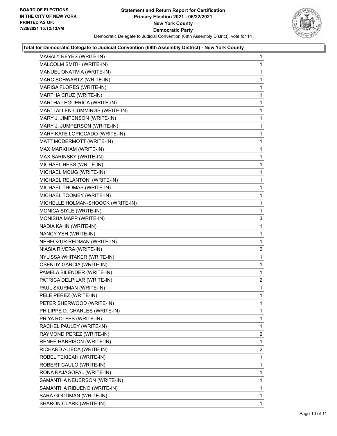

| MAGALY REYES (WRITE-IN)           | 1              |
|-----------------------------------|----------------|
| MALCOLM SMITH (WRITE-IN)          | 1              |
| MANUEL ONATIVIA (WRITE-IN)        | 1              |
| MARC SCHWARTZ (WRITE-IN)          | 1              |
| MARISA FLORES (WRITE-IN)          | 1              |
| MARTHA CRUZ (WRITE-IN)            | 1              |
| MARTHA LEGUERICA (WRITE-IN)       | 1              |
| MARTI ALLEN-CUMMINGS (WRITE-IN)   | 1              |
| MARY J. JIMPENSON (WRITE-IN)      | 1              |
| MARY J. JUMPERSON (WRITE-IN)      | 1              |
| MARY KATE LOPICCADO (WRITE-IN)    | 1              |
| MATT MCDERMOTT (WRITE-IN)         | 1              |
| MAX MARKHAM (WRITE-IN)            | 1              |
| MAX SARINSKY (WRITE-IN)           | 1              |
| MICHAEL HESS (WRITE-IN)           | 1              |
| MICHAEL MOUG (WRITE-IN)           | 1              |
| MICHAEL RELANTONI (WRITE-IN)      | 1              |
| MICHAEL THOMAS (WRITE-IN)         | 1              |
| MICHAEL TOOMEY (WRITE-IN)         | 1              |
| MICHELLE HOLMAN-SHOOCK (WRITE-IN) | 1              |
| MONICA SIYLE (WRITE-IN)           | 1              |
| MONISHA MAPP (WRITE-IN)           | 3              |
| NADIA KAHN (WRITE-IN)             | 1              |
| NANCY YEH (WRITE-IN)              | 1              |
| NEHFOZUR REDMAN (WRITE-IN)        | 1              |
| NIASIA RIVERA (WRITE-IN)          | 2              |
| NYLISSA WHITAKER (WRITE-IN)       | 1              |
| <b>OSENDY GARCIA (WRITE-IN)</b>   | 1              |
| PAMELA EILENDER (WRITE-IN)        | 1              |
| PATRICA DELPILAR (WRITE-IN)       | 2              |
| PAUL SKURMAN (WRITE-IN)           | 1              |
| PELE PEREZ (WRITE-IN)             | 1              |
| PETER SHERWOOD (WRITE-IN)         | 1              |
| PHILIPPE D. CHARLES (WRITE-IN)    | 1              |
| PRIYA ROLFES (WRITE-IN)           | 1              |
| RACHEL PAULEY (WRITE-IN)          | 1              |
| RAYMOND PEREZ (WRITE-IN)          | $\overline{2}$ |
| RENEE HARRISON (WRITE-IN)         | 1              |
| RICHARD ALIECA (WRITE-IN)         | $\overline{2}$ |
| ROBEL TEKIEAH (WRITE-IN)          | 1              |
| ROBERT CAULO (WRITE-IN)           | 1              |
| RONA RAJAGOPAL (WRITE-IN)         | 1              |
| SAMANTHA NEUERSON (WRITE-IN)      | 1              |
| SAMANTHA RIBUENO (WRITE-IN)       | 1              |
| SARA GOODMAN (WRITE-IN)           | 1              |
| SHARON CLARK (WRITE-IN)           | 1              |
|                                   |                |